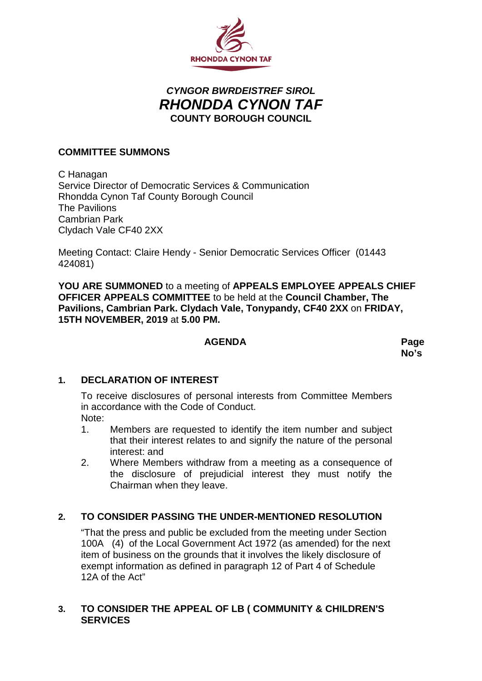

# *CYNGOR BWRDEISTREF SIROL RHONDDA CYNON TAF* **COUNTY BOROUGH COUNCIL**

# **COMMITTEE SUMMONS**

C Hanagan Service Director of Democratic Services & Communication Rhondda Cynon Taf County Borough Council The Pavilions Cambrian Park Clydach Vale CF40 2XX

Meeting Contact: Claire Hendy - Senior Democratic Services Officer (01443 424081)

**YOU ARE SUMMONED** to a meeting of **APPEALS EMPLOYEE APPEALS CHIEF OFFICER APPEALS COMMITTEE** to be held at the **Council Chamber, The Pavilions, Cambrian Park. Clydach Vale, Tonypandy, CF40 2XX** on **FRIDAY, 15TH NOVEMBER, 2019** at **5.00 PM.**

#### **AGENDA Page**

**No's**

## **1. DECLARATION OF INTEREST**

To receive disclosures of personal interests from Committee Members in accordance with the Code of Conduct. Note:

- 1. Members are requested to identify the item number and subject that their interest relates to and signify the nature of the personal interest: and
- 2. Where Members withdraw from a meeting as a consequence of the disclosure of prejudicial interest they must notify the Chairman when they leave.

# **2. TO CONSIDER PASSING THE UNDER-MENTIONED RESOLUTION**

"That the press and public be excluded from the meeting under Section 100A (4) of the Local Government Act 1972 (as amended) for the next item of business on the grounds that it involves the likely disclosure of exempt information as defined in paragraph 12 of Part 4 of Schedule 12A of the Act"

## **3. TO CONSIDER THE APPEAL OF LB ( COMMUNITY & CHILDREN'S SERVICES**